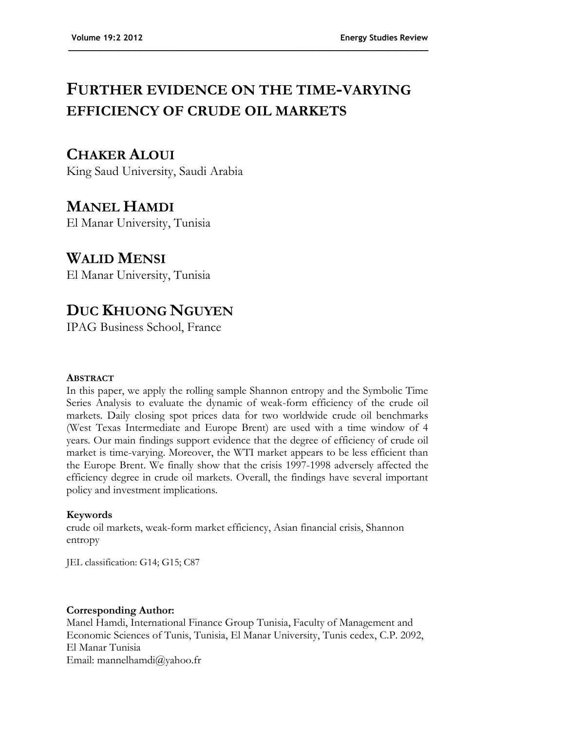# **FURTHER EVIDENCE ON THE TIME-VARYING EFFICIENCY OF CRUDE OIL MARKETS**

**\_\_\_\_\_\_\_\_\_\_\_\_\_\_\_\_\_\_\_\_\_\_\_\_\_\_\_\_\_\_\_\_\_\_\_\_\_\_\_\_\_\_\_\_\_\_\_\_\_\_\_\_\_\_\_\_\_\_\_\_\_\_\_\_\_\_\_\_\_\_\_\_\_\_**

### **CHAKER ALOUI**

King Saud University, Saudi Arabia

## **MANEL HAMDI**

El Manar University, Tunisia

## **WALID MENSI**

El Manar University, Tunisia

## **DUC KHUONG NGUYEN**

IPAG Business School, France

### **ABSTRACT**

In this paper, we apply the rolling sample Shannon entropy and the Symbolic Time Series Analysis to evaluate the dynamic of weak-form efficiency of the crude oil markets. Daily closing spot prices data for two worldwide crude oil benchmarks (West Texas Intermediate and Europe Brent) are used with a time window of 4 years. Our main findings support evidence that the degree of efficiency of crude oil market is time-varying. Moreover, the WTI market appears to be less efficient than the Europe Brent. We finally show that the crisis 1997-1998 adversely affected the efficiency degree in crude oil markets. Overall, the findings have several important policy and investment implications.

### **Keywords**

crude oil markets, weak-form market efficiency, Asian financial crisis, Shannon entropy

JEL classification: G14; G15; C87

### **Corresponding Author:**

Manel Hamdi, International Finance Group Tunisia, Faculty of Management and Economic Sciences of Tunis, Tunisia, El Manar University, Tunis cedex, C.P. 2092, El Manar Tunisia Email: mannelhamdi@yahoo.fr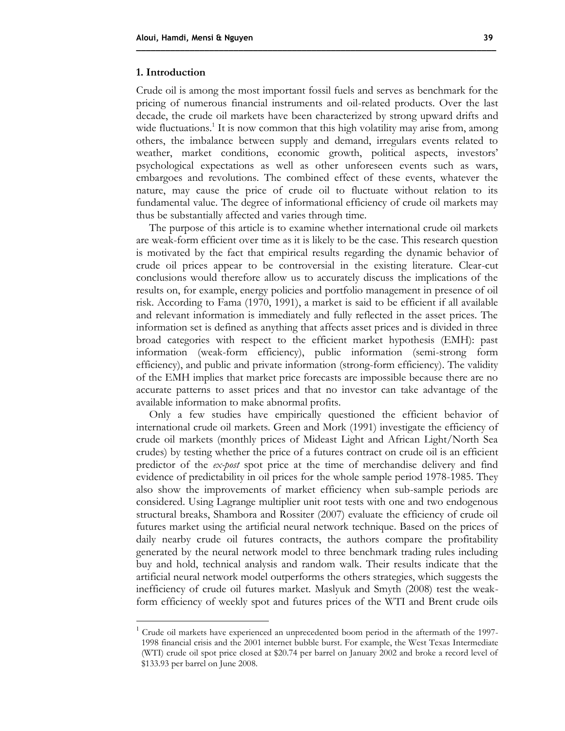#### **1. Introduction**

 $\overline{a}$ 

Crude oil is among the most important fossil fuels and serves as benchmark for the pricing of numerous financial instruments and oil-related products. Over the last decade, the crude oil markets have been characterized by strong upward drifts and wide fluctuations.<sup>1</sup> It is now common that this high volatility may arise from, among others, the imbalance between supply and demand, irregulars events related to weather, market conditions, economic growth, political aspects, investors' psychological expectations as well as other unforeseen events such as wars, embargoes and revolutions. The combined effect of these events, whatever the nature, may cause the price of crude oil to fluctuate without relation to its fundamental value. The degree of informational efficiency of crude oil markets may thus be substantially affected and varies through time.

**\_\_\_\_\_\_\_\_\_\_\_\_\_\_\_\_\_\_\_\_\_\_\_\_\_\_\_\_\_\_\_\_\_\_\_\_\_\_\_\_\_\_\_\_\_\_\_\_\_\_\_\_\_\_\_\_\_\_\_\_\_\_\_\_\_\_\_\_\_\_\_\_\_\_**

The purpose of this article is to examine whether international crude oil markets are weak-form efficient over time as it is likely to be the case. This research question is motivated by the fact that empirical results regarding the dynamic behavior of crude oil prices appear to be controversial in the existing literature. Clear-cut conclusions would therefore allow us to accurately discuss the implications of the results on, for example, energy policies and portfolio management in presence of oil risk. According to Fama (1970, 1991), a market is said to be efficient if all available and relevant information is immediately and fully reflected in the asset prices. The information set is defined as anything that affects asset prices and is divided in three broad categories with respect to the efficient market hypothesis (EMH): past information (weak-form efficiency), public information (semi-strong form efficiency), and public and private information (strong-form efficiency). The validity of the EMH implies that market price forecasts are impossible because there are no accurate patterns to asset prices and that no investor can take advantage of the available information to make abnormal profits.

Only a few studies have empirically questioned the efficient behavior of international crude oil markets. Green and Mork (1991) investigate the efficiency of crude oil markets (monthly prices of Mideast Light and African Light/North Sea crudes) by testing whether the price of a futures contract on crude oil is an efficient predictor of the *ex-post* spot price at the time of merchandise delivery and find evidence of predictability in oil prices for the whole sample period 1978-1985. They also show the improvements of market efficiency when sub-sample periods are considered. Using Lagrange multiplier unit root tests with one and two endogenous structural breaks, Shambora and Rossiter (2007) evaluate the efficiency of crude oil futures market using the artificial neural network technique. Based on the prices of daily nearby crude oil futures contracts, the authors compare the profitability generated by the neural network model to three benchmark trading rules including buy and hold, technical analysis and random walk. Their results indicate that the artificial neural network model outperforms the others strategies, which suggests the inefficiency of crude oil futures market. Maslyuk and Smyth (2008) test the weakform efficiency of weekly spot and futures prices of the WTI and Brent crude oils

<sup>1</sup> Crude oil markets have experienced an unprecedented boom period in the aftermath of the 1997- 1998 financial crisis and the 2001 internet bubble burst. For example, the West Texas Intermediate (WTI) crude oil spot price closed at \$20.74 per barrel on January 2002 and broke a record level of \$133.93 per barrel on June 2008.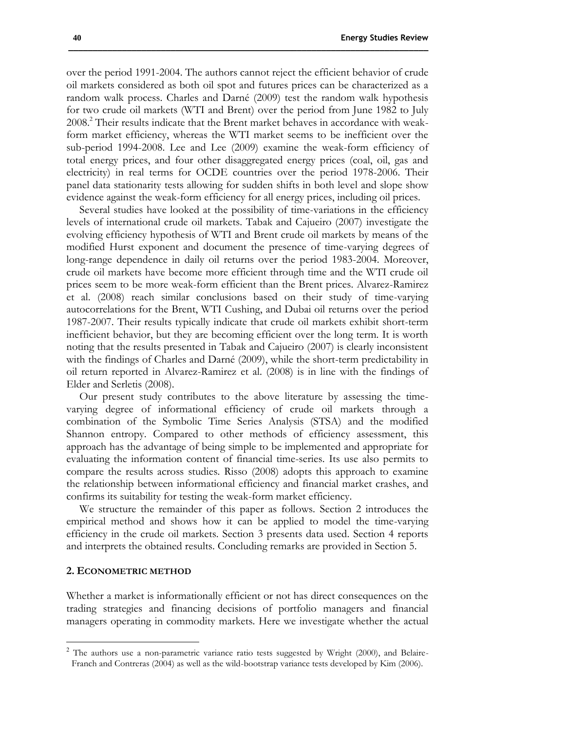over the period 1991-2004. The authors cannot reject the efficient behavior of crude oil markets considered as both oil spot and futures prices can be characterized as a random walk process. Charles and Darné (2009) test the random walk hypothesis for two crude oil markets (WTI and Brent) over the period from June 1982 to July 2008.<sup>2</sup> Their results indicate that the Brent market behaves in accordance with weakform market efficiency, whereas the WTI market seems to be inefficient over the sub-period 1994-2008. Lee and Lee (2009) examine the weak-form efficiency of total energy prices, and four other disaggregated energy prices (coal, oil, gas and electricity) in real terms for OCDE countries over the period 1978-2006. Their panel data stationarity tests allowing for sudden shifts in both level and slope show evidence against the weak-form efficiency for all energy prices, including oil prices.

**\_\_\_\_\_\_\_\_\_\_\_\_\_\_\_\_\_\_\_\_\_\_\_\_\_\_\_\_\_\_\_\_\_\_\_\_\_\_\_\_\_\_\_\_\_\_\_\_\_\_\_\_\_\_\_\_\_\_\_\_\_\_\_\_\_\_\_\_\_\_\_\_\_\_**

Several studies have looked at the possibility of time-variations in the efficiency levels of international crude oil markets. Tabak and Cajueiro (2007) investigate the evolving efficiency hypothesis of WTI and Brent crude oil markets by means of the modified Hurst exponent and document the presence of time-varying degrees of long-range dependence in daily oil returns over the period 1983-2004. Moreover, crude oil markets have become more efficient through time and the WTI crude oil prices seem to be more weak-form efficient than the Brent prices. Alvarez-Ramirez et al. (2008) reach similar conclusions based on their study of time-varying autocorrelations for the Brent, WTI Cushing, and Dubai oil returns over the period 1987-2007. Their results typically indicate that crude oil markets exhibit short-term inefficient behavior, but they are becoming efficient over the long term. It is worth noting that the results presented in Tabak and Cajueiro (2007) is clearly inconsistent with the findings of Charles and Darné (2009), while the short-term predictability in oil return reported in Alvarez-Ramirez et al. (2008) is in line with the findings of Elder and Serletis (2008).

Our present study contributes to the above literature by assessing the timevarying degree of informational efficiency of crude oil markets through a combination of the Symbolic Time Series Analysis (STSA) and the modified Shannon entropy. Compared to other methods of efficiency assessment, this approach has the advantage of being simple to be implemented and appropriate for evaluating the information content of financial time-series. Its use also permits to compare the results across studies. Risso (2008) adopts this approach to examine the relationship between informational efficiency and financial market crashes, and confirms its suitability for testing the weak-form market efficiency.

We structure the remainder of this paper as follows. Section 2 introduces the empirical method and shows how it can be applied to model the time-varying efficiency in the crude oil markets. Section 3 presents data used. Section 4 reports and interprets the obtained results. Concluding remarks are provided in Section 5.

#### **2. ECONOMETRIC METHOD**

 $\overline{a}$ 

Whether a market is informationally efficient or not has direct consequences on the trading strategies and financing decisions of portfolio managers and financial managers operating in commodity markets. Here we investigate whether the actual

<sup>&</sup>lt;sup>2</sup> The authors use a non-parametric variance ratio tests suggested by Wright (2000), and Belaire-Franch and Contreras (2004) as well as the wild-bootstrap variance tests developed by Kim (2006).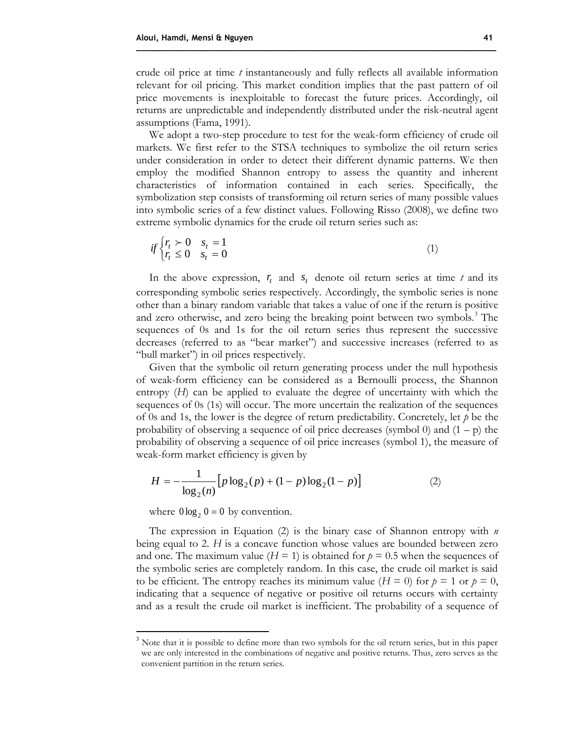crude oil price at time *t* instantaneously and fully reflects all available information relevant for oil pricing. This market condition implies that the past pattern of oil price movements is inexploitable to forecast the future prices. Accordingly, oil returns are unpredictable and independently distributed under the risk-neutral agent assumptions (Fama, 1991).

**\_\_\_\_\_\_\_\_\_\_\_\_\_\_\_\_\_\_\_\_\_\_\_\_\_\_\_\_\_\_\_\_\_\_\_\_\_\_\_\_\_\_\_\_\_\_\_\_\_\_\_\_\_\_\_\_\_\_\_\_\_\_\_\_\_\_\_\_\_\_\_\_\_\_**

We adopt a two-step procedure to test for the weak-form efficiency of crude oil markets. We first refer to the STSA techniques to symbolize the oil return series under consideration in order to detect their different dynamic patterns. We then employ the modified Shannon entropy to assess the quantity and inherent characteristics of information contained in each series. Specifically, the symbolization step consists of transforming oil return series of many possible values into symbolic series of a few distinct values. Following Risso (2008), we define two extreme symbolic dynamics for the crude oil return series such as:

$$
if \begin{cases} r_t \succ 0 & s_t = 1 \\ r_t \le 0 & s_t = 0 \end{cases} \tag{1}
$$

In the above expression,  $r_t$  and  $s_t$  denote oil return series at time  $t$  and its corresponding symbolic series respectively. Accordingly, the symbolic series is none other than a binary random variable that takes a value of one if the return is positive and zero otherwise, and zero being the breaking point between two symbols.<sup>3</sup> The sequences of 0s and 1s for the oil return series thus represent the successive decreases (referred to as "bear market") and successive increases (referred to as "bull market") in oil prices respectively.

Given that the symbolic oil return generating process under the null hypothesis of weak-form efficiency can be considered as a Bernoulli process, the Shannon entropy (*H*) can be applied to evaluate the degree of uncertainty with which the sequences of 0s (1s) will occur. The more uncertain the realization of the sequences of 0s and 1s, the lower is the degree of return predictability. Concretely, let *p* be the probability of observing a sequence of oil price decreases (symbol 0) and  $(1 - p)$  the probability of observing a sequence of oil price increases (symbol 1), the measure of weak-form market efficiency is given by

$$
H = -\frac{1}{\log_2(n)} \Big[ p \log_2(p) + (1 - p) \log_2(1 - p) \Big] \tag{2}
$$

where  $0 \log_2 0 = 0$  by convention.

 $\overline{a}$ 

The expression in Equation (2) is the binary case of Shannon entropy with *n* being equal to 2. *H* is a concave function whose values are bounded between zero and one. The maximum value  $(H = 1)$  is obtained for  $p = 0.5$  when the sequences of the symbolic series are completely random. In this case, the crude oil market is said to be efficient. The entropy reaches its minimum value ( $H = 0$ ) for  $p = 1$  or  $p = 0$ , indicating that a sequence of negative or positive oil returns occurs with certainty and as a result the crude oil market is inefficient. The probability of a sequence of

<sup>&</sup>lt;sup>3</sup> Note that it is possible to define more than two symbols for the oil return series, but in this paper we are only interested in the combinations of negative and positive returns. Thus, zero serves as the convenient partition in the return series.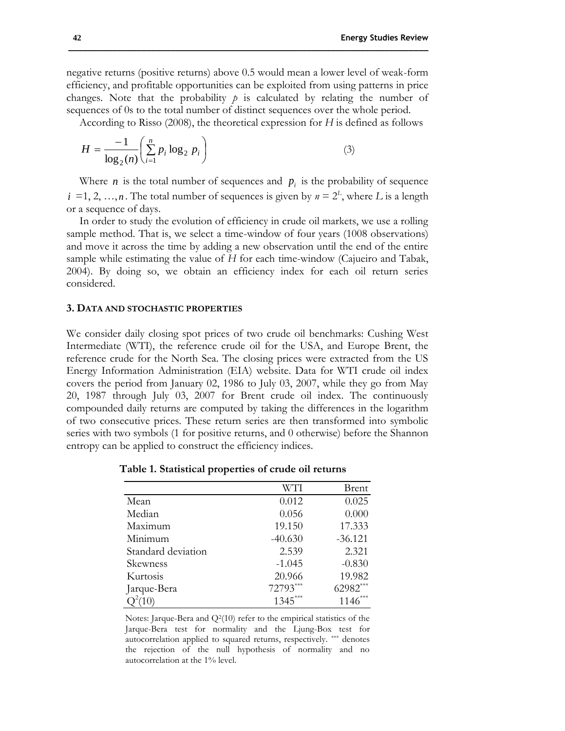negative returns (positive returns) above 0.5 would mean a lower level of weak-form efficiency, and profitable opportunities can be exploited from using patterns in price changes. Note that the probability  $p$  is calculated by relating the number of sequences of 0s to the total number of distinct sequences over the whole period.

**\_\_\_\_\_\_\_\_\_\_\_\_\_\_\_\_\_\_\_\_\_\_\_\_\_\_\_\_\_\_\_\_\_\_\_\_\_\_\_\_\_\_\_\_\_\_\_\_\_\_\_\_\_\_\_\_\_\_\_\_\_\_\_\_\_\_\_\_\_\_\_\_\_\_**

According to Risso (2008), the theoretical expression for *H* is defined as follows

$$
H = \frac{-1}{\log_2(n)} \left( \sum_{i=1}^n p_i \log_2 p_i \right)
$$
 (3)

Where *n* is the total number of sequences and  $p_i$  is the probability of sequence  $i = 1, 2, ..., n$ . The total number of sequences is given by  $n = 2<sup>L</sup>$ , where *L* is a length or a sequence of days.

In order to study the evolution of efficiency in crude oil markets, we use a rolling sample method. That is, we select a time-window of four years (1008 observations) and move it across the time by adding a new observation until the end of the entire sample while estimating the value of *H* for each time-window (Cajueiro and Tabak, 2004). By doing so, we obtain an efficiency index for each oil return series considered.

#### **3. DATA AND STOCHASTIC PROPERTIES**

We consider daily closing spot prices of two crude oil benchmarks: Cushing West Intermediate (WTI), the reference crude oil for the USA, and Europe Brent, the reference crude for the North Sea. The closing prices were extracted from the US Energy Information Administration (EIA) website. Data for WTI crude oil index covers the period from January 02, 1986 to July 03, 2007, while they go from May 20, 1987 through July 03, 2007 for Brent crude oil index. The continuously compounded daily returns are computed by taking the differences in the logarithm of two consecutive prices. These return series are then transformed into symbolic series with two symbols (1 for positive returns, and 0 otherwise) before the Shannon entropy can be applied to construct the efficiency indices.

|                    | WTI       | <b>Brent</b> |
|--------------------|-----------|--------------|
| Mean               | 0.012     | 0.025        |
| Median             | 0.056     | 0.000        |
| Maximum            | 19.150    | 17.333       |
| Minimum            | $-40.630$ | $-36.121$    |
| Standard deviation | 2.539     | 2.321        |
| Skewness           | $-1.045$  | $-0.830$     |
| Kurtosis           | 20.966    | 19.982       |
| Jarque-Bera        | 72793***  | 62982***     |
|                    | $1345***$ | $1146$ ***   |

**Table 1. Statistical properties of crude oil returns**

Notes: Jarque-Bera and  $Q^2(10)$  refer to the empirical statistics of the Jarque-Bera test for normality and the Ljung-Box test for autocorrelation applied to squared returns, respectively. \*\*\* denotes the rejection of the null hypothesis of normality and no autocorrelation at the 1% level.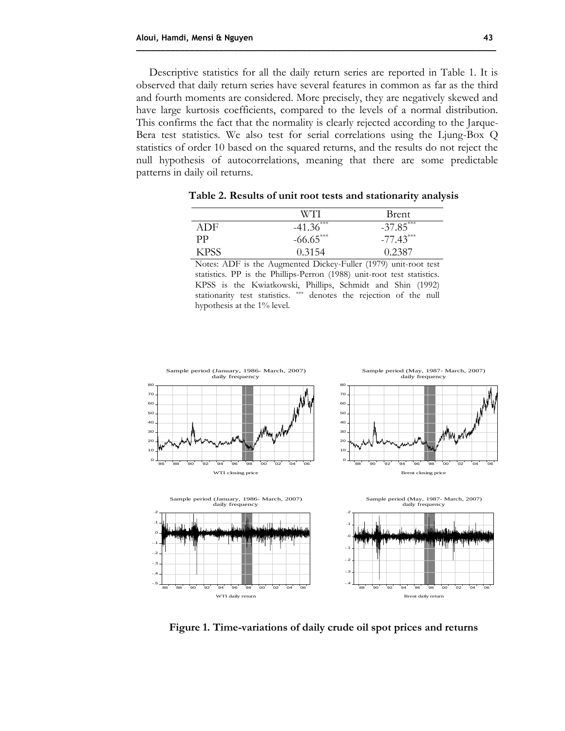Descriptive statistics for all the daily return series are reported in Table 1. It is observed that daily return series have several features in common as far as the third and fourth moments are considered. More precisely, they are negatively skewed and have large kurtosis coefficients, compared to the levels of a normal distribution. This confirms the fact that the normality is clearly rejected according to the Jarque-Bera test statistics. We also test for serial correlations using the Ljung-Box Q statistics of order 10 based on the squared returns, and the results do not reject the null hypothesis of autocorrelations, meaning that there are some predictable patterns in daily oil returns.

**\_\_\_\_\_\_\_\_\_\_\_\_\_\_\_\_\_\_\_\_\_\_\_\_\_\_\_\_\_\_\_\_\_\_\_\_\_\_\_\_\_\_\_\_\_\_\_\_\_\_\_\_\_\_\_\_\_\_\_\_\_\_\_\_\_\_\_\_\_\_\_\_\_\_**

|      | W'T'I       | Brent       |
|------|-------------|-------------|
| ADE  | $-41.36***$ | $-37.85***$ |
| pр   | $-66.65***$ | $-77.43***$ |
| KPSS | 0.3154      | 0.2387      |

**Table 2. Results of unit root tests and stationarity analysis**

Notes: ADF is the Augmented Dickey-Fuller (1979) unit-root test statistics. PP is the Phillips-Perron (1988) unit-root test statistics. KPSS is the Kwiatkowski, Phillips, Schmidt and Shin (1992) stationarity test statistics. \*\*\* denotes the rejection of the null hypothesis at the 1% level.



**Figure 1. Time-variations of daily crude oil spot prices and returns**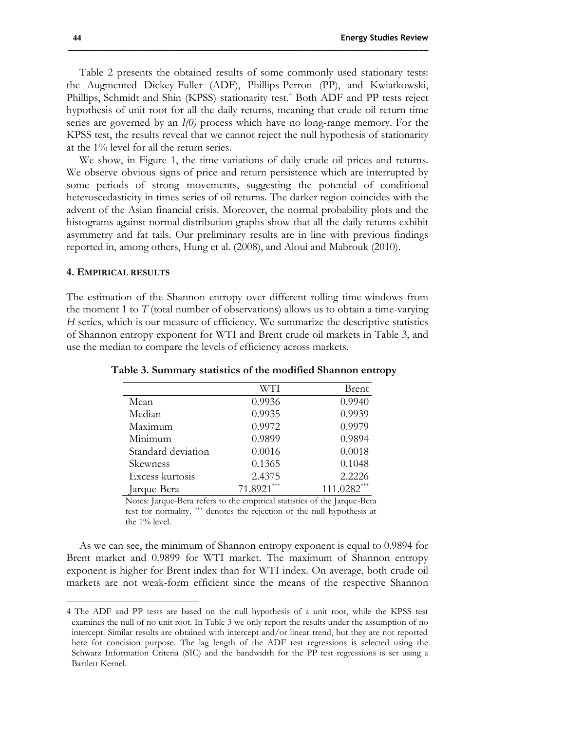Table 2 presents the obtained results of some commonly used stationary tests: the Augmented Dickey-Fuller (ADF), Phillips-Perron (PP), and Kwiatkowski, Phillips, Schmidt and Shin (KPSS) stationarity test.<sup>4</sup> Both ADF and PP tests reject hypothesis of unit root for all the daily returns, meaning that crude oil return time series are governed by an *I(0)* process which have no long-range memory. For the KPSS test, the results reveal that we cannot reject the null hypothesis of stationarity at the 1% level for all the return series.

We show, in Figure 1, the time-variations of daily crude oil prices and returns. We observe obvious signs of price and return persistence which are interrupted by some periods of strong movements, suggesting the potential of conditional heteroscedasticity in times series of oil returns. The darker region coincides with the advent of the Asian financial crisis. Moreover, the normal probability plots and the histograms against normal distribution graphs show that all the daily returns exhibit asymmetry and fat tails. Our preliminary results are in line with previous findings reported in, among others, Hung et al. (2008), and Aloui and Mabrouk (2010).

#### **4. EMPIRICAL RESULTS**

 $\overline{a}$ 

The estimation of the Shannon entropy over different rolling time-windows from the moment 1 to  $T$  (total number of observations) allows us to obtain a time-varying *H* series, which is our measure of efficiency. We summarize the descriptive statistics of Shannon entropy exponent for WTI and Brent crude oil markets in Table 3, and use the median to compare the levels of efficiency across markets.

|                    | WTI          | <b>Brent</b>  |
|--------------------|--------------|---------------|
| Mean               | 0.9936       | 0.9940        |
| Median             | 0.9935       | 0.9939        |
| Maximum            | 0.9972       | 0.9979        |
| Minimum            | 0.9899       | 0.9894        |
| Standard deviation | 0.0016       | 0.0018        |
| Skewness           | 0.1365       | 0.1048        |
| Excess kurtosis    | 2.4375       | 2.2226        |
| Jarque-Bera        | $71.8921***$ | $111.0282***$ |

**Table 3. Summary statistics of the modified Shannon entropy**

Notes: Jarque-Bera refers to the empirical statistics of the Jarque-Bera test for normality. \*\*\* denotes the rejection of the null hypothesis at the 1% level.

As we can see, the minimum of Shannon entropy exponent is equal to 0.9894 for Brent market and 0.9899 for WTI market. The maximum of Shannon entropy exponent is higher for Brent index than for WTI index. On average, both crude oil markets are not weak-form efficient since the means of the respective Shannon

<sup>4</sup> The ADF and PP tests are based on the null hypothesis of a unit root, while the KPSS test examines the null of no unit root. In Table 3 we only report the results under the assumption of no intercept. Similar results are obtained with intercept and/or linear trend, but they are not reported here for concision purpose. The lag length of the ADF test regressions is selected using the Schwarz Information Criteria (SIC) and the bandwidth for the PP test regressions is set using a Bartlett Kernel.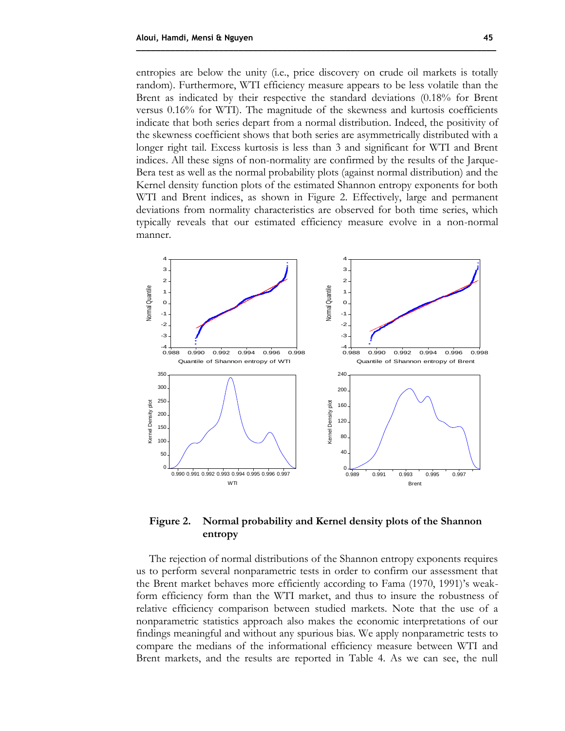entropies are below the unity (i.e., price discovery on crude oil markets is totally random). Furthermore, WTI efficiency measure appears to be less volatile than the Brent as indicated by their respective the standard deviations (0.18% for Brent versus 0.16% for WTI). The magnitude of the skewness and kurtosis coefficients indicate that both series depart from a normal distribution. Indeed, the positivity of the skewness coefficient shows that both series are asymmetrically distributed with a longer right tail. Excess kurtosis is less than 3 and significant for WTI and Brent indices. All these signs of non-normality are confirmed by the results of the Jarque-Bera test as well as the normal probability plots (against normal distribution) and the Kernel density function plots of the estimated Shannon entropy exponents for both WTI and Brent indices, as shown in Figure 2. Effectively, large and permanent deviations from normality characteristics are observed for both time series, which typically reveals that our estimated efficiency measure evolve in a non-normal manner.

**\_\_\_\_\_\_\_\_\_\_\_\_\_\_\_\_\_\_\_\_\_\_\_\_\_\_\_\_\_\_\_\_\_\_\_\_\_\_\_\_\_\_\_\_\_\_\_\_\_\_\_\_\_\_\_\_\_\_\_\_\_\_\_\_\_\_\_\_\_\_\_\_\_\_**



**Figure 2. Normal probability and Kernel density plots of the Shannon entropy**

The rejection of normal distributions of the Shannon entropy exponents requires us to perform several nonparametric tests in order to confirm our assessment that the Brent market behaves more efficiently according to Fama (1970, 1991)'s weakform efficiency form than the WTI market, and thus to insure the robustness of relative efficiency comparison between studied markets. Note that the use of a nonparametric statistics approach also makes the economic interpretations of our findings meaningful and without any spurious bias. We apply nonparametric tests to compare the medians of the informational efficiency measure between WTI and Brent markets, and the results are reported in Table 4. As we can see, the null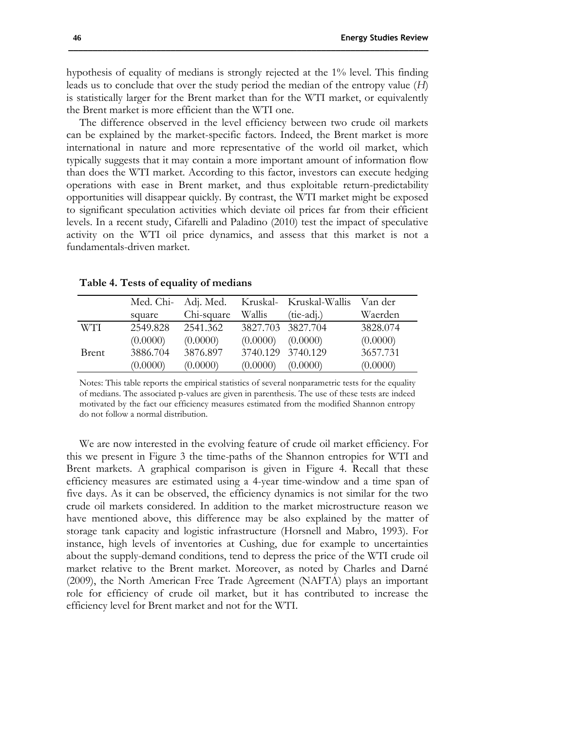hypothesis of equality of medians is strongly rejected at the 1% level. This finding leads us to conclude that over the study period the median of the entropy value (*H*) is statistically larger for the Brent market than for the WTI market, or equivalently the Brent market is more efficient than the WTI one.

The difference observed in the level efficiency between two crude oil markets can be explained by the market-specific factors. Indeed, the Brent market is more international in nature and more representative of the world oil market, which typically suggests that it may contain a more important amount of information flow than does the WTI market. According to this factor, investors can execute hedging operations with ease in Brent market, and thus exploitable return-predictability opportunities will disappear quickly. By contrast, the WTI market might be exposed to significant speculation activities which deviate oil prices far from their efficient levels. In a recent study, Cifarelli and Paladino (2010) test the impact of speculative activity on the WTI oil price dynamics, and assess that this market is not a fundamentals-driven market.

|              | Med. Chi- |            |          | Adj. Med. Kruskal- Kruskal-Wallis | Van der  |
|--------------|-----------|------------|----------|-----------------------------------|----------|
|              | square    | Chi-square | Wallis   | $(tie-adi.)$                      | Waerden  |
| WTI.         | 2549.828  | 2541.362   |          | 3827.703 3827.704                 | 3828.074 |
|              | (0.0000)  | (0.0000)   | (0.0000) | (0.0000)                          | (0.0000) |
| <b>Brent</b> | 3886.704  | 3876.897   |          | 3740.129 3740.129                 | 3657.731 |
|              | (0.0000)  | (0.0000)   | (0.0000) | (0.0000)                          | (0.0000) |

**Table 4. Tests of equality of medians**

Notes: This table reports the empirical statistics of several nonparametric tests for the equality of medians. The associated p-values are given in parenthesis. The use of these tests are indeed motivated by the fact our efficiency measures estimated from the modified Shannon entropy do not follow a normal distribution.

We are now interested in the evolving feature of crude oil market efficiency. For this we present in Figure 3 the time-paths of the Shannon entropies for WTI and Brent markets. A graphical comparison is given in Figure 4. Recall that these efficiency measures are estimated using a 4-year time-window and a time span of five days. As it can be observed, the efficiency dynamics is not similar for the two crude oil markets considered. In addition to the market microstructure reason we have mentioned above, this difference may be also explained by the matter of storage tank capacity and logistic infrastructure (Horsnell and Mabro, 1993). For instance, high levels of inventories at Cushing, due for example to uncertainties about the supply-demand conditions, tend to depress the price of the WTI crude oil market relative to the Brent market. Moreover, as noted by Charles and Darné (2009), the North American Free Trade Agreement (NAFTA) plays an important role for efficiency of crude oil market, but it has contributed to increase the efficiency level for Brent market and not for the WTI.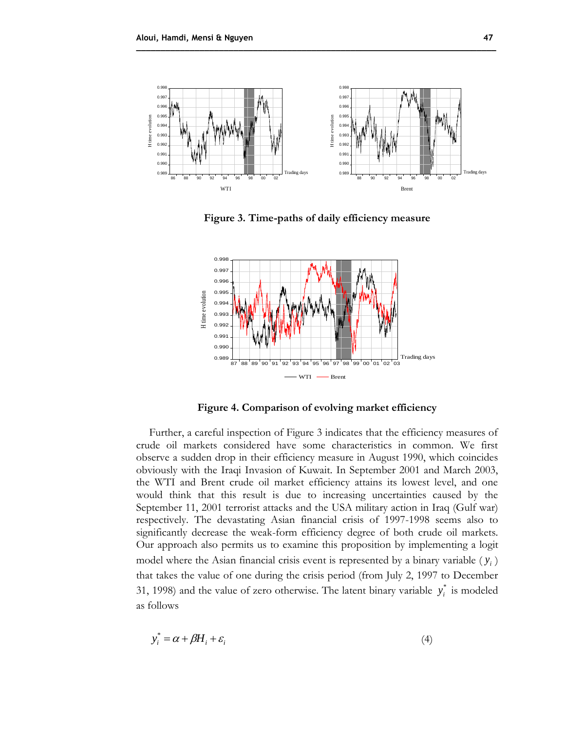

**\_\_\_\_\_\_\_\_\_\_\_\_\_\_\_\_\_\_\_\_\_\_\_\_\_\_\_\_\_\_\_\_\_\_\_\_\_\_\_\_\_\_\_\_\_\_\_\_\_\_\_\_\_\_\_\_\_\_\_\_\_\_\_\_\_\_\_\_\_\_\_\_\_\_**

**Figure 3. Time-paths of daily efficiency measure**



**Figure 4. Comparison of evolving market efficiency**

Further, a careful inspection of Figure 3 indicates that the efficiency measures of crude oil markets considered have some characteristics in common. We first observe a sudden drop in their efficiency measure in August 1990, which coincides obviously with the Iraqi Invasion of Kuwait. In September 2001 and March 2003, the WTI and Brent crude oil market efficiency attains its lowest level, and one would think that this result is due to increasing uncertainties caused by the September 11, 2001 terrorist attacks and the USA military action in Iraq (Gulf war) respectively. The devastating Asian financial crisis of 1997-1998 seems also to significantly decrease the weak-form efficiency degree of both crude oil markets. Our approach also permits us to examine this proposition by implementing a logit model where the Asian financial crisis event is represented by a binary variable  $(y<sub>i</sub>)$ that takes the value of one during the crisis period (from July 2, 1997 to December 31, 1998) and the value of zero otherwise. The latent binary variable  $y_i^*$  $y_i^*$  is modeled as follows

$$
y_i^* = \alpha + \beta H_i + \varepsilon_i \tag{4}
$$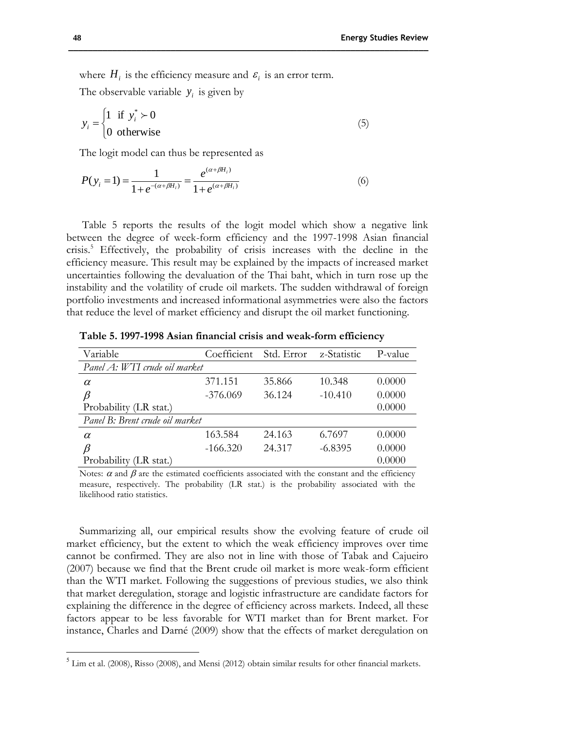where  $H_i$  is the efficiency measure and  $\varepsilon_i$  is an error term.

The observable variable  $y_i$  is given by

$$
y_i = \begin{cases} 1 & \text{if } y_i^* \succ 0 \\ 0 & \text{otherwise} \end{cases}
$$
 (5)

The logit model can thus be represented as

$$
P(y_i = 1) = \frac{1}{1 + e^{-(\alpha + \beta H_i)}} = \frac{e^{(\alpha + \beta H_i)}}{1 + e^{(\alpha + \beta H_i)}}\tag{6}
$$

Table 5 reports the results of the logit model which show a negative link between the degree of week-form efficiency and the 1997-1998 Asian financial crisis.<sup>5</sup> Effectively, the probability of crisis increases with the decline in the efficiency measure. This result may be explained by the impacts of increased market uncertainties following the devaluation of the Thai baht, which in turn rose up the instability and the volatility of crude oil markets. The sudden withdrawal of foreign portfolio investments and increased informational asymmetries were also the factors that reduce the level of market efficiency and disrupt the oil market functioning.

| Variable                        | Coefficient | Std. Error | z-Statistic | P-value |
|---------------------------------|-------------|------------|-------------|---------|
| Panel A: WTI crude oil market   |             |            |             |         |
| $\alpha$                        | 371.151     | 35.866     | 10.348      | 0.0000  |
| $\beta$                         | $-376.069$  | 36.124     | $-10.410$   | 0.0000  |
| Probability (LR stat.)          |             |            |             | 0.0000  |
| Panel B: Brent crude oil market |             |            |             |         |
| $\alpha$                        | 163.584     | 24.163     | 6.7697      | 0.0000  |
| β                               | $-166.320$  | 24.317     | $-6.8395$   | 0.0000  |
| Probability (LR stat.)          |             |            |             | 0.0000  |

**Table 5. 1997-1998 Asian financial crisis and weak-form efficiency**

Notes:  $\alpha$  and  $\beta$  are the estimated coefficients associated with the constant and the efficiency measure, respectively. The probability (LR stat.) is the probability associated with the likelihood ratio statistics.

Summarizing all, our empirical results show the evolving feature of crude oil market efficiency, but the extent to which the weak efficiency improves over time cannot be confirmed. They are also not in line with those of Tabak and Cajueiro (2007) because we find that the Brent crude oil market is more weak-form efficient than the WTI market. Following the suggestions of previous studies, we also think that market deregulation, storage and logistic infrastructure are candidate factors for explaining the difference in the degree of efficiency across markets. Indeed, all these factors appear to be less favorable for WTI market than for Brent market. For instance, Charles and Darné (2009) show that the effects of market deregulation on

 $\overline{a}$ 

<sup>&</sup>lt;sup>5</sup> Lim et al. (2008), Risso (2008), and Mensi (2012) obtain similar results for other financial markets.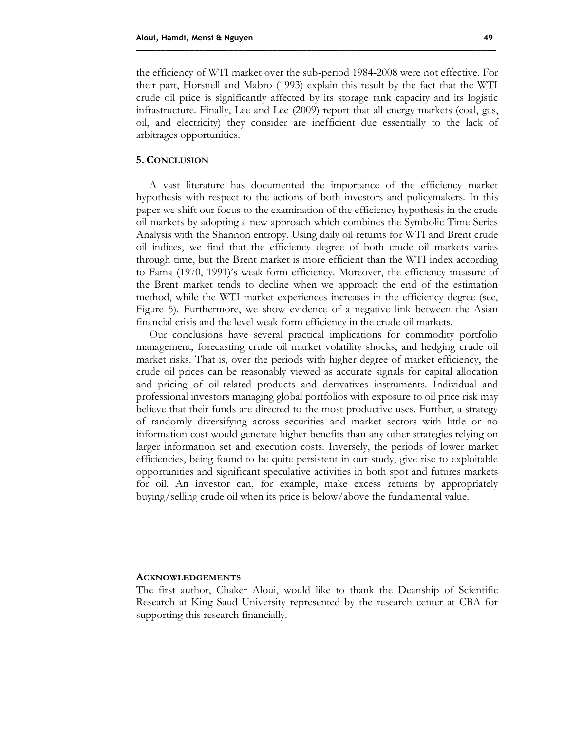the efficiency of WTI market over the sub**-**period 1984**-**2008 were not effective. For their part, Horsnell and Mabro (1993) explain this result by the fact that the WTI crude oil price is significantly affected by its storage tank capacity and its logistic infrastructure. Finally, Lee and Lee (2009) report that all energy markets (coal, gas, oil, and electricity) they consider are inefficient due essentially to the lack of

#### **5. CONCLUSION**

arbitrages opportunities.

A vast literature has documented the importance of the efficiency market hypothesis with respect to the actions of both investors and policymakers. In this paper we shift our focus to the examination of the efficiency hypothesis in the crude oil markets by adopting a new approach which combines the Symbolic Time Series Analysis with the Shannon entropy. Using daily oil returns for WTI and Brent crude oil indices, we find that the efficiency degree of both crude oil markets varies through time, but the Brent market is more efficient than the WTI index according to Fama (1970, 1991)'s weak-form efficiency. Moreover, the efficiency measure of the Brent market tends to decline when we approach the end of the estimation method, while the WTI market experiences increases in the efficiency degree (see, Figure 5). Furthermore, we show evidence of a negative link between the Asian financial crisis and the level weak-form efficiency in the crude oil markets.

**\_\_\_\_\_\_\_\_\_\_\_\_\_\_\_\_\_\_\_\_\_\_\_\_\_\_\_\_\_\_\_\_\_\_\_\_\_\_\_\_\_\_\_\_\_\_\_\_\_\_\_\_\_\_\_\_\_\_\_\_\_\_\_\_\_\_\_\_\_\_\_\_\_\_**

Our conclusions have several practical implications for commodity portfolio management, forecasting crude oil market volatility shocks, and hedging crude oil market risks. That is, over the periods with higher degree of market efficiency, the crude oil prices can be reasonably viewed as accurate signals for capital allocation and pricing of oil-related products and derivatives instruments. Individual and professional investors managing global portfolios with exposure to oil price risk may believe that their funds are directed to the most productive uses. Further, a strategy of randomly diversifying across securities and market sectors with little or no information cost would generate higher benefits than any other strategies relying on larger information set and execution costs. Inversely, the periods of lower market efficiencies, being found to be quite persistent in our study, give rise to exploitable opportunities and significant speculative activities in both spot and futures markets for oil. An investor can, for example, make excess returns by appropriately buying/selling crude oil when its price is below/above the fundamental value.

#### **ACKNOWLEDGEMENTS**

The first author, Chaker Aloui, would like to thank the Deanship of Scientific Research at King Saud University represented by the research center at CBA for supporting this research financially.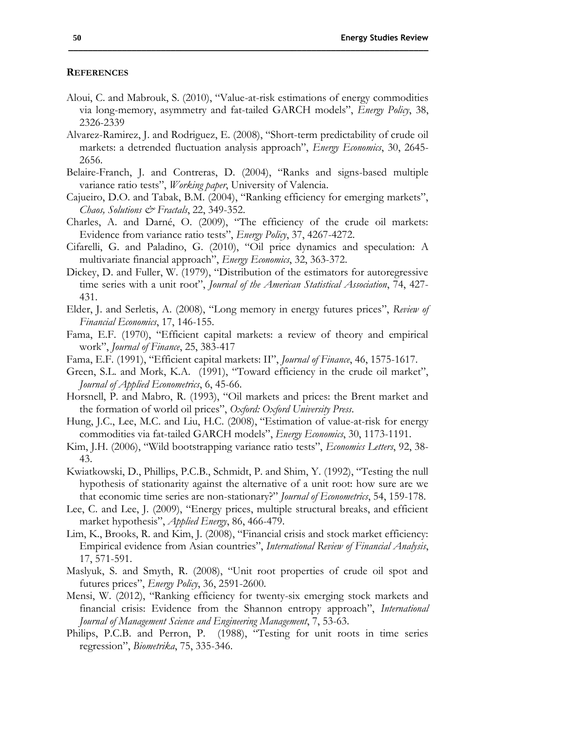#### **REFERENCES**

- Aloui, C. and Mabrouk, S. (2010), "Value-at-risk estimations of energy commodities via long-memory, asymmetry and fat-tailed GARCH models", *Energy Policy*, 38, 2326-2339
- Alvarez-Ramirez, J. and Rodriguez, E. (2008), "Short-term predictability of crude oil markets: a detrended fluctuation analysis approach", *Energy Economics*, 30, 2645- 2656.
- Belaire-Franch, J. and Contreras, D. (2004), "Ranks and signs-based multiple variance ratio tests", *Working paper*, University of Valencia.
- Cajueiro, D.O. and Tabak, B.M. (2004), "Ranking efficiency for emerging markets", *Chaos, Solutions & Fractals*, 22, 349-352.
- Charles, A. and Darné, O. (2009), "The efficiency of the crude oil markets: Evidence from variance ratio tests", *Energy Policy*, 37, 4267-4272.
- Cifarelli, G. and Paladino, G. (2010), "Oil price dynamics and speculation: A multivariate financial approach", *Energy Economics*, 32, 363-372.
- Dickey, D. and Fuller, W. (1979), "Distribution of the estimators for autoregressive time series with a unit root", *Journal of the American Statistical Association*, 74, 427- 431.
- Elder, J. and Serletis, A. (2008), "Long memory in energy futures prices", *Review of Financial Economics*, 17, 146-155.
- Fama, E.F. (1970), "Efficient capital markets: a review of theory and empirical work", *Journal of Finance*, 25, 383-417
- Fama, E.F. (1991), "Efficient capital markets: II", *Journal of Finance*, 46, 1575-1617.
- Green, S.L. and Mork, K.A. (1991), "Toward efficiency in the crude oil market", *Journal of Applied Econometrics*, 6, 45-66.
- Horsnell, P. and Mabro, R. (1993), "Oil markets and prices: the Brent market and the formation of world oil prices", *Oxford: Oxford University Press*.
- Hung, J.C., Lee, M.C. and Liu, H.C. (2008), "Estimation of value-at-risk for energy commodities via fat-tailed GARCH models", *Energy Economics*, 30, 1173-1191.
- Kim, J.H. (2006), "Wild bootstrapping variance ratio tests", *Economics Letters*, 92, 38- 43.
- Kwiatkowski, D., Phillips, P.C.B., Schmidt, P. and Shim, Y. (1992), "Testing the null hypothesis of stationarity against the alternative of a unit root: how sure are we that economic time series are non-stationary?" *Journal of Econometrics*, 54, 159-178.
- Lee, C. and Lee, J. (2009), "Energy prices, multiple structural breaks, and efficient market hypothesis", *Applied Energy*, 86, 466-479.
- Lim, K., Brooks, R. and Kim, J. (2008), "Financial crisis and stock market efficiency: Empirical evidence from Asian countries", *International Review of Financial Analysis*, 17, 571-591.
- Maslyuk, S. and Smyth, R. (2008), "Unit root properties of crude oil spot and futures prices", *Energy Policy*, 36, 2591-2600.
- Mensi, W. (2012), "Ranking efficiency for twenty-six emerging stock markets and financial crisis: Evidence from the Shannon entropy approach", *International Journal of Management Science and Engineering Management*, 7, 53-63.
- Philips, P.C.B. and Perron, P. (1988), "Testing for unit roots in time series regression", *Biometrika*, 75, 335-346.